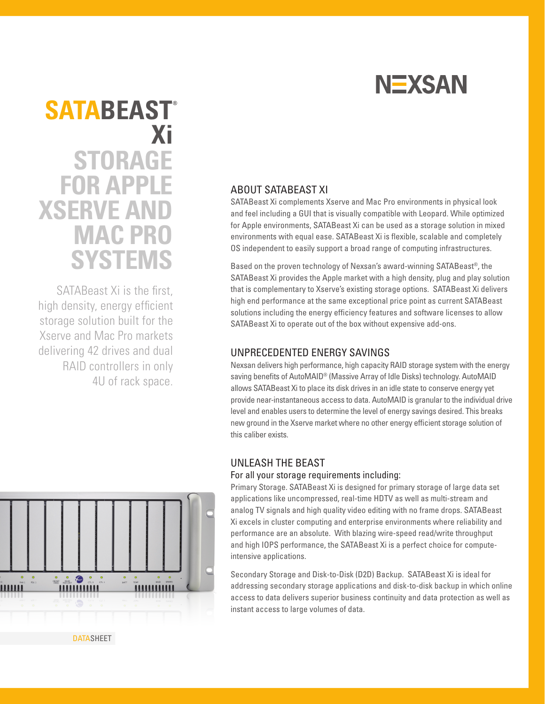

# **STORAGE FOR APPLE XSERVE AND MAC PRO SYSTEMS SATABEAST® Xi**

SATABeast Xi is the first. high density, energy efficient storage solution built for the Xserve and Mac Pro markets delivering 42 drives and dual RAID controllers in only 4U of rack space.

# ABOUT SATABEAST XI

SATABeast Xi complements Xserve and Mac Pro environments in physical look and feel including a GUI that is visually compatible with Leopard. While optimized for Apple environments, SATABeast Xi can be used as a storage solution in mixed environments with equal ease. SATABeast Xi is flexible, scalable and completely OS independent to easily support a broad range of computing infrastructures.

Based on the proven technology of Nexsan's award-winning SATABeast®, the SATABeast Xi provides the Apple market with a high density, plug and play solution that is complementary to Xserve's existing storage options. SATABeast Xi delivers high end performance at the same exceptional price point as current SATABeast solutions including the energy efficiency features and software licenses to allow SATABeast Xi to operate out of the box without expensive add-ons.

## UNPRECEDENTED ENERGY SAVINGS

Nexsan delivers high performance, high capacity RAID storage system with the energy saving benefits of AutoMAID® (Massive Array of Idle Disks) technology. AutoMAID allows SATABeast Xi to place its disk drives in an idle state to conserve energy yet provide near-instantaneous access to data. AutoMAID is granular to the individual drive level and enables users to determine the level of energy savings desired. This breaks new ground in the Xserve market where no other energy efficient storage solution of this caliber exists.

# UNLEASH THE BEAST

#### For all your storage requirements including:

Primary Storage. SATABeast Xi is designed for primary storage of large data set applications like uncompressed, real-time HDTV as well as multi-stream and analog TV signals and high quality video editing with no frame drops. SATABeast Xi excels in cluster computing and enterprise environments where reliability and performance are an absolute. With blazing wire-speed read/write throughput and high IOPS performance, the SATABeast Xi is a perfect choice for computeintensive applications.

Secondary Storage and Disk-to-Disk (D2D) Backup. SATABeast Xi is ideal for addressing secondary storage applications and disk-to-disk backup in which online access to data delivers superior business continuity and data protection as well as instant access to large volumes of data.



**DATASHEET**